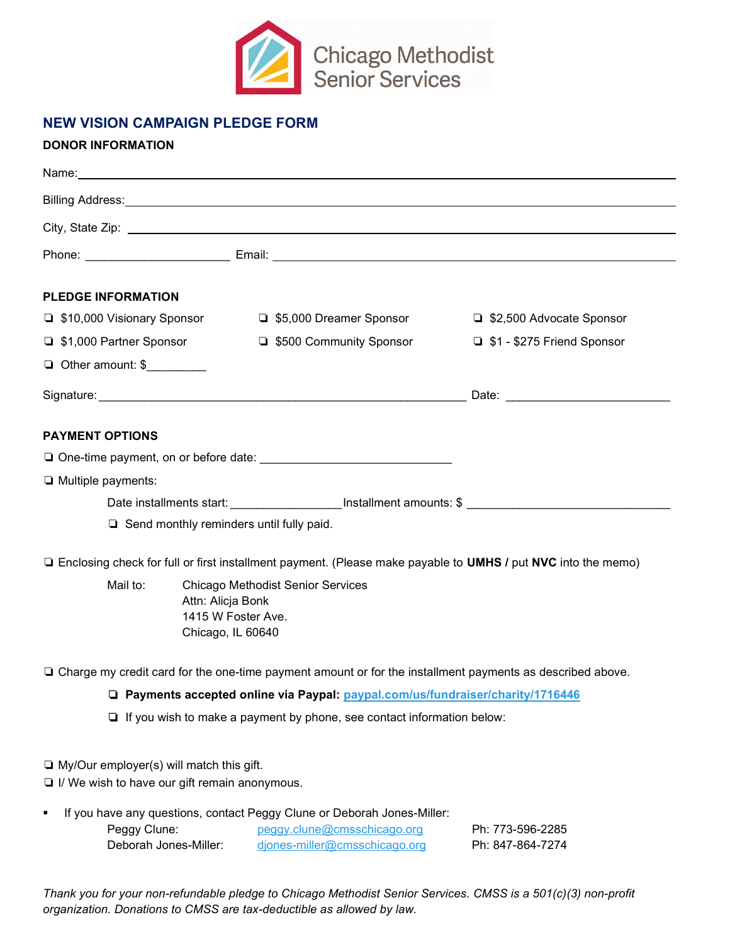

## NEW VISION CAMPAIGN PLEDGE FORM

## DONOR INFORMATION

|                                                 | Billing Address: <u>New York: New York: New York: New York: New York: New York: New York: New York: New York: New York: New York: New York: New York: New York: New York: New York: New York: New York: New York: New York: New </u> |                                                                                                                                                                                                                                     |
|-------------------------------------------------|--------------------------------------------------------------------------------------------------------------------------------------------------------------------------------------------------------------------------------------|-------------------------------------------------------------------------------------------------------------------------------------------------------------------------------------------------------------------------------------|
|                                                 |                                                                                                                                                                                                                                      |                                                                                                                                                                                                                                     |
|                                                 |                                                                                                                                                                                                                                      |                                                                                                                                                                                                                                     |
| <b>PLEDGE INFORMATION</b>                       |                                                                                                                                                                                                                                      |                                                                                                                                                                                                                                     |
| □ \$10,000 Visionary Sponsor                    | □ \$5,000 Dreamer Sponsor                                                                                                                                                                                                            | □ \$2,500 Advocate Sponsor                                                                                                                                                                                                          |
| □ \$1,000 Partner Sponsor                       | <b>S500 Community Sponsor</b>                                                                                                                                                                                                        | □ \$1 - \$275 Friend Sponsor                                                                                                                                                                                                        |
| Other amount: \$                                |                                                                                                                                                                                                                                      |                                                                                                                                                                                                                                     |
|                                                 |                                                                                                                                                                                                                                      | Date: <u>Date:</u> Partnership and the second state of the second state of the second state of the second state of the second state of the second state of the second state of the second state of the second state of the second s |
|                                                 |                                                                                                                                                                                                                                      |                                                                                                                                                                                                                                     |
| <b>PAYMENT OPTIONS</b>                          |                                                                                                                                                                                                                                      |                                                                                                                                                                                                                                     |
|                                                 |                                                                                                                                                                                                                                      |                                                                                                                                                                                                                                     |
| I Multiple payments:                            |                                                                                                                                                                                                                                      |                                                                                                                                                                                                                                     |
|                                                 | Date installments start: ______________________Installment amounts: \$ _____________________________                                                                                                                                 |                                                                                                                                                                                                                                     |
|                                                 | $\Box$ Send monthly reminders until fully paid.                                                                                                                                                                                      |                                                                                                                                                                                                                                     |
|                                                 | □ Enclosing check for full or first installment payment. (Please make payable to UMHS / put NVC into the memo)                                                                                                                       |                                                                                                                                                                                                                                     |
| Mail to:                                        | <b>Chicago Methodist Senior Services</b>                                                                                                                                                                                             |                                                                                                                                                                                                                                     |
|                                                 | Attn: Alicja Bonk                                                                                                                                                                                                                    |                                                                                                                                                                                                                                     |
|                                                 | 1415 W Foster Ave.<br>Chicago, IL 60640                                                                                                                                                                                              |                                                                                                                                                                                                                                     |
|                                                 |                                                                                                                                                                                                                                      |                                                                                                                                                                                                                                     |
|                                                 | □ Charge my credit card for the one-time payment amount or for the installment payments as described above.                                                                                                                          |                                                                                                                                                                                                                                     |
|                                                 | □ Payments accepted online via Paypal: paypal.com/us/fundraiser/charity/1716446                                                                                                                                                      |                                                                                                                                                                                                                                     |
|                                                 | $\Box$ If you wish to make a payment by phone, see contact information below:                                                                                                                                                        |                                                                                                                                                                                                                                     |
|                                                 |                                                                                                                                                                                                                                      |                                                                                                                                                                                                                                     |
| $\Box$ My/Our employer(s) will match this gift. |                                                                                                                                                                                                                                      |                                                                                                                                                                                                                                     |
| I/ We wish to have our gift remain anonymous.   |                                                                                                                                                                                                                                      |                                                                                                                                                                                                                                     |
| ٠                                               | If you have any questions, contact Peggy Clune or Deborah Jones-Miller:                                                                                                                                                              |                                                                                                                                                                                                                                     |
| Peggy Clune:                                    | peggy.clune@cmsschicago.org                                                                                                                                                                                                          | Ph: 773-596-2285                                                                                                                                                                                                                    |
| Deborah Jones-Miller:                           | djones-miller@cmsschicago.org                                                                                                                                                                                                        | Ph: 847-864-7274                                                                                                                                                                                                                    |

Thank you for your non-refundable pledge to Chicago Methodist Senior Services. CMSS is a 501(c)(3) non-profit organization. Donations to CMSS are tax-deductible as allowed by law.